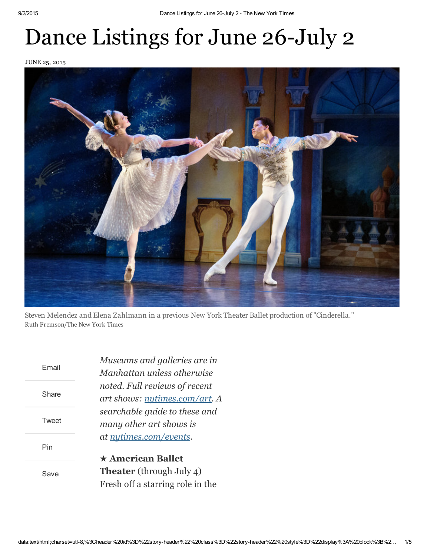## Dance Listings for June 26-July 2

JUNE 25, 2015



Steven Melendez and Elena Zahlmann in a previous New York Theater Ballet production of "Cinderella." Ruth Fremson/The New York Times

| Fmail | Museums and galleries are in<br>Manhattan unless otherwise<br>noted. Full reviews of recent<br>art shows: nytimes.com/art. A |
|-------|------------------------------------------------------------------------------------------------------------------------------|
| Share |                                                                                                                              |
| Tweet | searchable guide to these and<br>many other art shows is                                                                     |
| Pin   | at nutimes.com/events.<br>$\star$ American Ballet                                                                            |
| Save  | <b>Theater</b> (through July 4)<br>Fresh off a starring role in the                                                          |
|       |                                                                                                                              |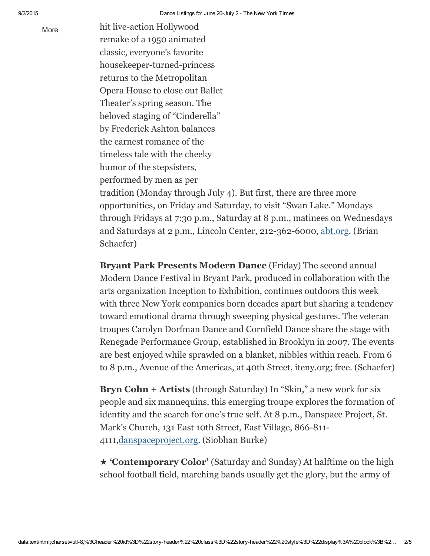[More](javascript:;) hit live-action Hollywood remake of a 1950 animated classic, everyone's favorite housekeeper-turned-princess returns to the Metropolitan Opera House to close out Ballet Theater's spring season. The beloved staging of "Cinderella" by Frederick Ashton balances the earnest romance of the timeless tale with the cheeky humor of the stepsisters, performed by men as per tradition (Monday through July 4). But first, there are three more opportunities, on Friday and Saturday, to visit "Swan Lake." Mondays

through Fridays at 7:30 p.m., Saturday at 8 p.m., matinees on Wednesdays and Saturdays at 2 p.m., Lincoln Center, 212-362-6000, [abt.org.](http://abt.org/) (Brian Schaefer)

Bryant Park Presents Modern Dance (Friday) The second annual Modern Dance Festival in Bryant Park, produced in collaboration with the arts organization Inception to Exhibition, continues outdoors this week with three New York companies born decades apart but sharing a tendency toward emotional drama through sweeping physical gestures. The veteran troupes Carolyn Dorfman Dance and Cornfield Dance share the stage with Renegade Performance Group, established in Brooklyn in 2007. The events are best enjoyed while sprawled on a blanket, nibbles within reach. From 6 to 8 p.m., Avenue of the Americas, at 40th Street, iteny.org; free. (Schaefer)

Bryn Cohn + Artists (through Saturday) In "Skin," a new work for six people and six mannequins, this emerging troupe explores the formation of identity and the search for one's true self. At 8 p.m., Danspace Project, St. Mark's Church, 131 East 10th Street, East Village, 866-811-4111[,danspaceproject.org.](http://danspaceproject.org/) (Siobhan Burke)

★ 'Contemporary Color' (Saturday and Sunday) At halftime on the high school football field, marching bands usually get the glory, but the army of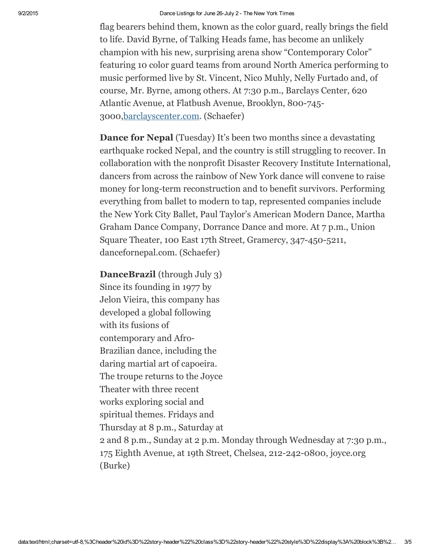flag bearers behind them, known as the color guard, really brings the field to life. David Byrne, of Talking Heads fame, has become an unlikely champion with his new, surprising arena show "Contemporary Color" featuring 10 color guard teams from around North America performing to music performed live by St. Vincent, Nico Muhly, Nelly Furtado and, of course, Mr. Byrne, among others. At 7:30 p.m., Barclays Center, 620 Atlantic Avenue, at Flatbush Avenue, Brooklyn, 800-745-3000[,barclayscenter.com.](http://barclayscenter.com/) (Schaefer)

**Dance for Nepal** (Tuesday) It's been two months since a devastating earthquake rocked Nepal, and the country is still struggling to recover. In collaboration with the nonprofit Disaster Recovery Institute International, dancers from across the rainbow of New York dance will convene to raise money for long-term reconstruction and to benefit survivors. Performing everything from ballet to modern to tap, represented companies include the New York City Ballet, Paul Taylor's American Modern Dance, Martha Graham Dance Company, Dorrance Dance and more. At 7 p.m., Union Square Theater, 100 East 17th Street, Gramercy, 347-450-5211, dancefornepal.com. (Schaefer)

DanceBrazil (through July 3) Since its founding in 1977 by Jelon Vieira, this company has developed a global following with its fusions of contemporary and Afro-Brazilian dance, including the daring martial art of capoeira. The troupe returns to the Joyce Theater with three recent works exploring social and spiritual themes. Fridays and Thursday at 8 p.m., Saturday at 2 and 8 p.m., Sunday at 2 p.m. Monday through Wednesday at 7:30 p.m., 175 Eighth Avenue, at 19th Street, Chelsea, 212-242-0800, joyce.org (Burke)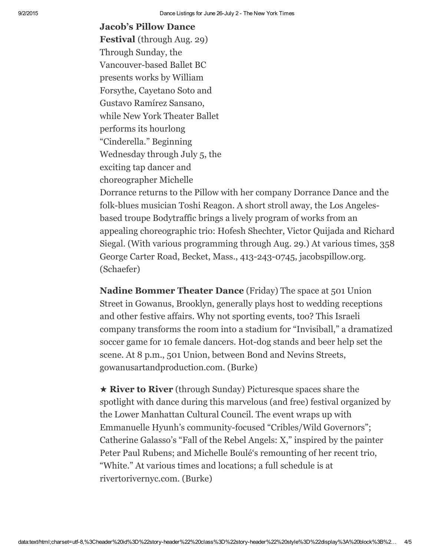## Jacob's Pillow Dance

Festival (through Aug. 29) Through Sunday, the Vancouver-based Ballet BC presents works by William Forsythe, Cayetano Soto and Gustavo Ramírez Sansano, while New York Theater Ballet performs its hourlong "Cinderella." Beginning Wednesday through July 5, the exciting tap dancer and choreographer Michelle

Dorrance returns to the Pillow with her company Dorrance Dance and the folk-blues musician Toshi Reagon. A short stroll away, the Los Angelesbased troupe Bodytraffic brings a lively program of works from an appealing choreographic trio: Hofesh Shechter, Victor Quijada and Richard Siegal. (With various programming through Aug. 29.) At various times, 358 George Carter Road, Becket, Mass., 413-243-0745, jacobspillow.org. (Schaefer)

Nadine Bommer Theater Dance (Friday) The space at 501 Union Street in Gowanus, Brooklyn, generally plays host to wedding receptions and other festive affairs. Why not sporting events, too? This Israeli company transforms the room into a stadium for "Invisiball," a dramatized soccer game for 10 female dancers. Hot-dog stands and beer help set the scene. At 8 p.m., 501 Union, between Bond and Nevins Streets, gowanusartandproduction.com. (Burke)

★ River to River (through Sunday) Picturesque spaces share the spotlight with dance during this marvelous (and free) festival organized by the Lower Manhattan Cultural Council. The event wraps up with Emmanuelle Hyunh's community-focused "Cribles/Wild Governors"; Catherine Galasso's "Fall of the Rebel Angels: X," inspired by the painter Peter Paul Rubens; and Michelle Boulé's remounting of her recent trio, "White." At various times and locations; a full schedule is at rivertorivernyc.com. (Burke)